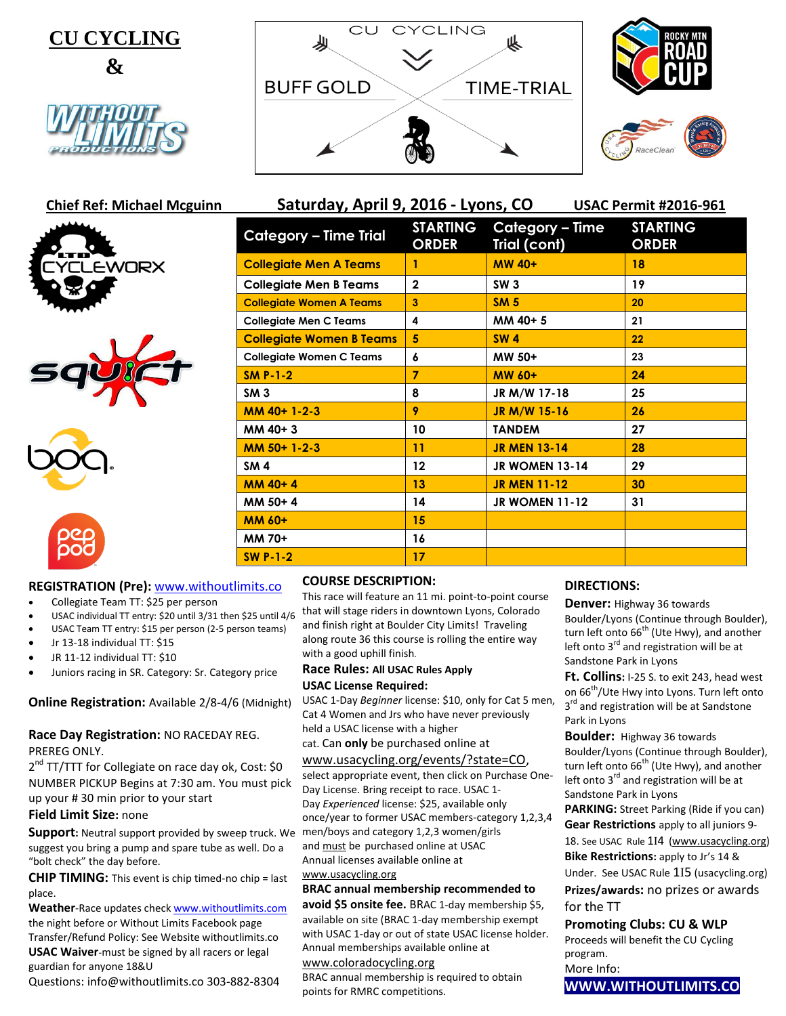



















| Saturday, April 9, 2016 - Lyons, CO<br><b>USAC Permit #2016-961</b> |                                 |                                 |                                 |  |
|---------------------------------------------------------------------|---------------------------------|---------------------------------|---------------------------------|--|
| <b>Category - Time Trial</b>                                        | <b>STARTING</b><br><b>ORDER</b> | Category – Time<br>Trial (cont) | <b>STARTING</b><br><b>ORDER</b> |  |
| <b>Collegiate Men A Teams</b>                                       | 1                               | <b>MW 40+</b>                   | 18                              |  |
| <b>Collegiate Men B Teams</b>                                       | $\overline{2}$                  | SW <sub>3</sub>                 | 19                              |  |
| <b>Collegiate Women A Teams</b>                                     | 3                               | <b>SM 5</b>                     | 20                              |  |
| <b>Collegiate Men C Teams</b>                                       | 4                               | MM 40+5                         | 21                              |  |
| <b>Collegiate Women B Teams</b>                                     | 5                               | <b>SW4</b>                      | 22                              |  |
| <b>Collegiate Women C Teams</b>                                     | 6                               | MW 50+                          | 23                              |  |
| SM $P-1-2$                                                          | $\overline{7}$                  | MW 60+                          | 24                              |  |
| SM3                                                                 | 8                               | JR M/W 17-18                    | 25                              |  |
| MM 40+ 1-2-3                                                        | 9                               | JR M/W 15-16                    | 26                              |  |
| MM 40+3                                                             | 10                              | <b>TANDEM</b>                   | 27                              |  |
| MM 50+1-2-3                                                         | 11                              | <b>JR MEN 13-14</b>             | 28                              |  |
| SM <sub>4</sub>                                                     | 12                              | <b>JR WOMEN 13-14</b>           | 29                              |  |
| $MM$ 40+4                                                           | 13                              | <b>JR MEN 11-12</b>             | 30                              |  |
| MM 50+4                                                             | 14                              | <b>JR WOMEN 11-12</b>           | 31                              |  |
| <b>MM 60+</b>                                                       | 15                              |                                 |                                 |  |
| MM 70+                                                              | 16                              |                                 |                                 |  |
| <b>SW P-1-2</b>                                                     | 17                              |                                 |                                 |  |

# **REGISTRATION (Pre):** [www.withoutlimits.co](http://www.withoutlimits.co/)

- Collegiate Team TT: \$25 per person
- USAC individual TT entry: \$20 until 3/31 then \$25 until 4/6
- USAC Team TT entry: \$15 per person (2-5 person teams)
- Jr 13-18 individual TT: \$15
- JR 11-12 individual TT: \$10
- Juniors racing in SR. Category: Sr. Category price

# **Online Registration:** Available 2/8-4/6 (Midnight)

## **Race Day Registration:** NO RACEDAY REG. PREREG ONLY.

2<sup>nd</sup> TT/TTT for Collegiate on race day ok, Cost: \$0 NUMBER PICKUP Begins at 7:30 am. You must pick up your # 30 min prior to your start

# **Field Limit Size:** none

**Support:** Neutral support provided by sweep truck. We suggest you bring a pump and spare tube as well. Do a "bolt check" the day before.

**CHIP TIMING:** This event is chip timed-no chip = last place.

**Weather**-Race updates chec[k www.withoutlimits.com](http://www.withoutlimits.com/) the night before or Without Limits Facebook page Transfer/Refund Policy: See Website withoutlimits.co **USAC Waiver**-must be signed by all racers or legal guardian for anyone 18&U

Questions: info@withoutlimits.co 303-882-8304

# **COURSE DESCRIPTION:**

This race will feature an 11 mi. point-to-point course that will stage riders in downtown Lyons, Colorado and finish right at Boulder City Limits! Traveling along route 36 this course is rolling the entire way with a good uphill finish.

## **Race Rules: All USAC Rules Apply**

#### **USAC License Required:**

USAC 1-Day *Beginner* license: \$10, only for Cat 5 men, Cat 4 Women and Jrs who have never previously held a USAC license with a higher

#### cat. Can **only** be purchased online at

#### [www.usacycling.org/events/?state=CO,](http://www.usacycling.org/events/?state=CO)

select appropriate event, then click on Purchase One-Day License. Bring receipt to race. USAC 1- Day *Experienced* license: \$25, available only once/year to former USAC members-category 1,2,3,4 men/boys and category 1,2,3 women/girls and must be purchased online at USAC Annual licenses available online at [www.usacycling.org](http://www.usacycling.org/)

# **BRAC annual membership recommended to**

**avoid \$5 onsite fee.** BRAC 1-day membership \$5, available on site (BRAC 1-day membership exempt with USAC 1-day or out of state USAC license holder. Annual memberships available online at

# [www.coloradocycling.org](http://www.coloradocycling.org/)

BRAC annual membership is required to obtain points for RMRC competitions.

# **DIRECTIONS:**

**Denver:** Highway 36 towards Boulder/Lyons (Continue through Boulder), turn left onto  $66<sup>th</sup>$  (Ute Hwy), and another left onto  $3^{rd}$  and registration will be at Sandstone Park in Lyons

**Ft. Collins:** I-25 S. to exit 243, head west on 66<sup>th</sup>/Ute Hwy into Lyons. Turn left onto 3<sup>rd</sup> and registration will be at Sandstone Park in Lyons

**Boulder:** Highway 36 towards Boulder/Lyons (Continue through Boulder), turn left onto 66<sup>th</sup> (Ute Hwy), and another left onto 3<sup>rd</sup> and registration will be at Sandstone Park in Lyons

**PARKING:** Street Parking (Ride if you can) **Gear Restrictions** apply to all juniors 9- 18. See USAC Rule 1I4 [\(www.usacycling.org\)](http://www.usacycling.org/) **Bike Restrictions:** apply to Jr's 14 & Under. See USAC Rule 1I5 (usacycling.org)

**Prizes/awards:** no prizes or awards for the TT

# **Promoting Clubs: CU & WLP**

Proceeds will benefit the CU Cycling program. More Info:

**WWW.WITHOUTLIMITS.CO**